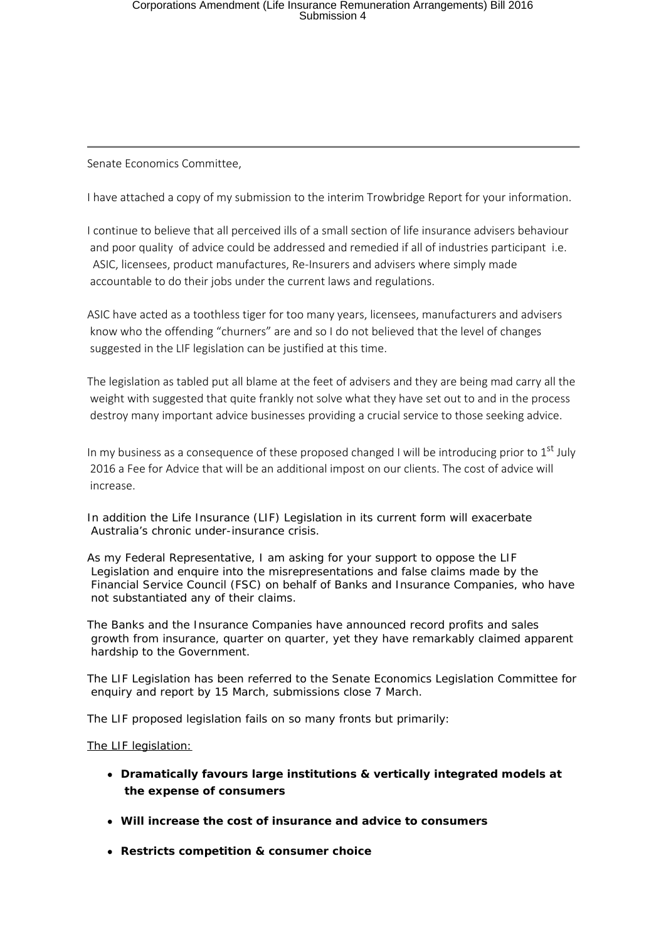Senate Economics Committee,

I have attached a copy of my submission to the interim Trowbridge Report for your information.

I continue to believe that all perceived ills of a small section of life insurance advisers behaviour and poor quality of advice could be addressed and remedied if all of industries participant i.e. ASIC, licensees, product manufactures, Re-Insurers and advisers where simply made accountable to do their jobs under the current laws and regulations.

ASIC have acted as a toothless tiger for too many years, licensees, manufacturers and advisers know who the offending "churners" are and so I do not believed that the level of changes suggested in the LIF legislation can be justified at this time.

The legislation as tabled put all blame at the feet of advisers and they are being mad carry all the weight with suggested that quite frankly not solve what they have set out to and in the process destroy many important advice businesses providing a crucial service to those seeking advice.

In my business as a consequence of these proposed changed I will be introducing prior to  $1<sup>st</sup>$  July 2016 a Fee for Advice that will be an additional impost on our clients. The cost of advice will increase.

In addition the Life Insurance (LIF) Legislation in its current form will exacerbate Australia's chronic under-insurance crisis.

As my Federal Representative, I am asking for your support to oppose the LIF Legislation and enquire into the misrepresentations and false claims made by the Financial Service Council (FSC) on behalf of Banks and Insurance Companies, who have not substantiated any of their claims.

The Banks and the Insurance Companies have announced record profits and sales growth from insurance, quarter on quarter, yet they have remarkably claimed apparent hardship to the Government.

The LIF Legislation has been referred to the Senate Economics Legislation Committee for enquiry and report by 15 March, submissions close 7 March.

The LIF proposed legislation fails on so many fronts but primarily:

## The LIF legislation:

- **Dramatically favours large institutions & vertically integrated models at the expense of consumers**
- **Will increase the cost of insurance and advice to consumers**
- **Restricts competition & consumer choice**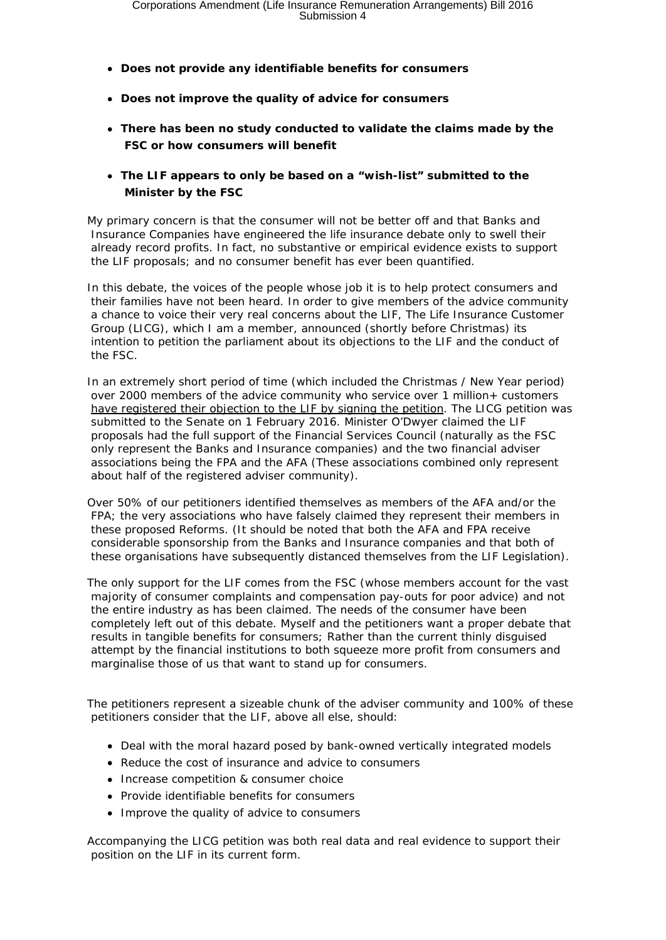- **Does not provide any identifiable benefits for consumers**
- **Does not improve the quality of advice for consumers**
- **There has been no study conducted to validate the claims made by the FSC or how consumers will benefit**
- **The LIF appears to only be based on a "wish-list" submitted to the Minister by the FSC**

My primary concern is that the consumer will not be better off and that Banks and Insurance Companies have engineered the life insurance debate only to swell their already record profits. In fact, no substantive or empirical evidence exists to support the LIF proposals; and no consumer benefit has ever been quantified.

In this debate, the voices of the people whose job it is to help protect consumers and their families have not been heard. In order to give members of the advice community a chance to voice their very real concerns about the LIF, The Life Insurance Customer Group (LICG), which I am a member, announced (shortly before Christmas) its intention to petition the parliament about its objections to the LIF and the conduct of the FSC.

In an extremely short period of time (which included the Christmas / New Year period) over 2000 members of the advice community who service over 1 million+ customers have registered their objection to the LIF by signing the petition. The LICG petition was submitted to the Senate on 1 February 2016. Minister O'Dwyer claimed the LIF proposals had the full support of the Financial Services Council (naturally as the FSC only represent the Banks and Insurance companies) and the two financial adviser associations being the FPA and the AFA (These associations combined only represent about half of the registered adviser community).

Over 50% of our petitioners identified themselves as members of the AFA and/or the FPA; the very associations who have falsely claimed they represent their members in these proposed Reforms. (It should be noted that both the AFA and FPA receive considerable sponsorship from the Banks and Insurance companies and that both of these organisations have subsequently distanced themselves from the LIF Legislation).

The only support for the LIF comes from the FSC (whose members account for the vast majority of consumer complaints and compensation pay-outs for poor advice) and not the entire industry as has been claimed. The needs of the consumer have been completely left out of this debate. Myself and the petitioners want a proper debate that results in tangible benefits for consumers; Rather than the current thinly disguised attempt by the financial institutions to both squeeze more profit from consumers and marginalise those of us that want to stand up for consumers.

The petitioners represent a sizeable chunk of the adviser community and 100% of these petitioners consider that the LIF, above all else, should:

- Deal with the moral hazard posed by bank-owned vertically integrated models
- Reduce the cost of insurance and advice to consumers
- Increase competition & consumer choice
- Provide identifiable benefits for consumers
- Improve the quality of advice to consumers

Accompanying the LICG petition was both real data and real evidence to support their position on the LIF in its current form.